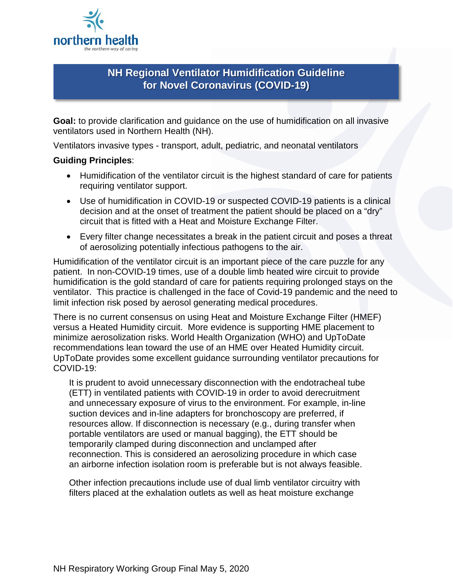

# **NH Regional Ventilator Humidification Guideline for Novel Coronavirus (COVID-19)**

**Goal:** to provide clarification and guidance on the use of humidification on all invasive ventilators used in Northern Health (NH).

Ventilators invasive types - transport, adult, pediatric, and neonatal ventilators

## **Guiding Principles**:

- Humidification of the ventilator circuit is the highest standard of care for patients requiring ventilator support.
- Use of humidification in COVID-19 or suspected COVID-19 patients is a clinical decision and at the onset of treatment the patient should be placed on a "dry" circuit that is fitted with a Heat and Moisture Exchange Filter.
- Every filter change necessitates a break in the patient circuit and poses a threat of aerosolizing potentially infectious pathogens to the air.

Humidification of the ventilator circuit is an important piece of the care puzzle for any patient. In non-COVID-19 times, use of a double limb heated wire circuit to provide humidification is the gold standard of care for patients requiring prolonged stays on the ventilator. This practice is challenged in the face of Covid-19 pandemic and the need to limit infection risk posed by aerosol generating medical procedures.

There is no current consensus on using Heat and Moisture Exchange Filter (HMEF) versus a Heated Humidity circuit. More evidence is supporting HME placement to minimize aerosolization risks. World Health Organization (WHO) and UpToDate recommendations lean toward the use of an HME over Heated Humidity circuit. UpToDate provides some excellent guidance surrounding ventilator precautions for COVID-19:

It is prudent to avoid unnecessary disconnection with the endotracheal tube (ETT) in ventilated patients with COVID-19 in order to avoid derecruitment and unnecessary exposure of virus to the environment. For example, in-line suction devices and in-line adapters for bronchoscopy are preferred, if resources allow. If disconnection is necessary (e.g., during transfer when portable ventilators are used or manual bagging), the ETT should be temporarily clamped during disconnection and unclamped after reconnection. This is considered an aerosolizing procedure in which case an airborne infection isolation room is preferable but is not always feasible.

Other infection precautions include use of dual limb ventilator circuitry with filters placed at the exhalation outlets as well as heat moisture exchange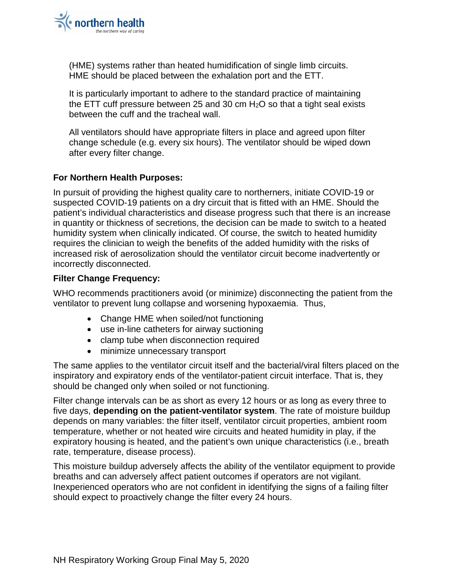

(HME) systems rather than heated humidification of single limb circuits. HME should be placed between the exhalation port and the ETT.

It is particularly important to adhere to the standard practice of maintaining the ETT cuff pressure between 25 and 30 cm  $H<sub>2</sub>O$  so that a tight seal exists between the cuff and the tracheal wall.

All ventilators should have appropriate filters in place and agreed upon filter change schedule (e.g. every six hours). The ventilator should be wiped down after every filter change.

### **For Northern Health Purposes:**

In pursuit of providing the highest quality care to northerners, initiate COVID-19 or suspected COVID-19 patients on a dry circuit that is fitted with an HME. Should the patient's individual characteristics and disease progress such that there is an increase in quantity or thickness of secretions, the decision can be made to switch to a heated humidity system when clinically indicated. Of course, the switch to heated humidity requires the clinician to weigh the benefits of the added humidity with the risks of increased risk of aerosolization should the ventilator circuit become inadvertently or incorrectly disconnected.

#### **Filter Change Frequency:**

WHO recommends practitioners avoid (or minimize) disconnecting the patient from the ventilator to prevent lung collapse and worsening hypoxaemia. Thus,

- Change HME when soiled/not functioning
- use in-line catheters for airway suctioning
- clamp tube when disconnection required
- minimize unnecessary transport

The same applies to the ventilator circuit itself and the bacterial/viral filters placed on the inspiratory and expiratory ends of the ventilator-patient circuit interface. That is, they should be changed only when soiled or not functioning.

Filter change intervals can be as short as every 12 hours or as long as every three to five days, **depending on the patient-ventilator system**. The rate of moisture buildup depends on many variables: the filter itself, ventilator circuit properties, ambient room temperature, whether or not heated wire circuits and heated humidity in play, if the expiratory housing is heated, and the patient's own unique characteristics (i.e., breath rate, temperature, disease process).

This moisture buildup adversely affects the ability of the ventilator equipment to provide breaths and can adversely affect patient outcomes if operators are not vigilant. Inexperienced operators who are not confident in identifying the signs of a failing filter should expect to proactively change the filter every 24 hours.